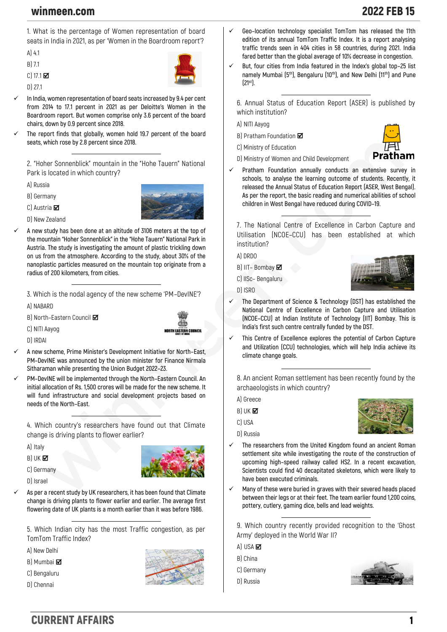## winmeen.com 2022 FEB 15

**1. What is the percentage of Women representation of board seats in India in 2021, as per 'Women in the Boardroom report'?**

**A) 4.1**

**B) 7.1**

**C) 17.1** 

**D) 27.1**

✓ **In India, women representation of board seats increased by 9.4 per cent from 2014 to 17.1 percent in 2021 as per Deloitte's Women in the Boardroom report. But women comprise only 3.6 percent of the board chairs, down by 0.9 percent since 2018.**

The report finds that globally, women hold 19.7 percent of the board **seats, which rose by 2.8 percent since 2018.**

**2. "Hoher Sonnenblick" mountain in the "Hohe Tauern" National Park is located in which country?**

**A) Russia**

**B) Germany**

**C) Austria** 



**D) New Zealand**

✓ **A new study has been done at an altitude of 3106 meters at the top of the mountain "Hoher Sonnenblick" in the "Hohe Tauern" National Park in Austria. The study is investigating the amount of plastic trickling down on us from the atmosphere. According to the study, about 30% of the nanoplastic particles measured on the mountain top originate from a radius of 200 kilometers, from cities.**

**3. Which is the nodal agency of the new scheme 'PM–DevINE'?**

**A) NABARD**

**C) NITI Aayog**

**B) North–Eastern Council** 



**D) IRDAI**

- ✓ **A new scheme, Prime Minister's Development Initiative for North–East, PM–DevINE was announced by the union minister for Finance Nirmala Sitharaman while presenting the Union Budget 2022–23.**
- ✓ **PM–DevINE will be implemented through the North–Eastern Council. An initial allocation of Rs. 1,500 crores will be made for the new scheme. It will fund infrastructure and social development projects based on needs of the North–East.**

**4. Which country's researchers have found out that Climate change is driving plants to flower earlier?**

**A) Italy**

**B) UK** 

**C) Germany**

**D) Israel**

As per a recent study by UK researchers, it has been found that Climate **change is driving plants to flower earlier and earlier. The average first flowering date of UK plants is a month earlier than it was before 1986.**

**5. Which Indian city has the most Traffic congestion, as per TomTom Traffic Index?**

**A) New Delhi**

**B) Mumbai** 

**C) Bengaluru**

**D) Chennai**



- ✓ **Geo–location technology specialist TomTom has released the 11th edition of its annual TomTom Traffic Index. It is a report analysing traffic trends seen in 404 cities in 58 countries, during 2021. India fared better than the global average of 10% decrease in congestion.**
- ✓ **But, four cities from India featured in the Index's global top–25 list namely Mumbai (5th), Bengaluru (10th), and New Delhi (11th) and Pune (21st).**

**6. Annual Status of Education Report (ASER) is published by which institution?**

**A) NITI Aayog**

**B) Pratham Foundation**

**C) Ministry of Education**



- **D) Ministry of Women and Child Development**
- ✓ **Pratham Foundation annually conducts an extensive survey in schools, to analyse the learning outcome of students. Recently, it released the Annual Status of Education Report (ASER, West Bengal). As per the report, the basic reading and numerical abilities of school children in West Bengal have reduced during COVID–19.**

**7. The National Centre of Excellence in Carbon Capture and Utilisation (NCOE–CCU) has been established at which institution?**

**A) DRDO**

**D) ISRO**

**B) IIT– Bombay**

**C) IISc– Bengaluru**



- ✓ **The Department of Science & Technology (DST) has established the National Centre of Excellence in Carbon Capture and Utilisation (NCOE–CCU) at Indian Institute of Technology (IIT) Bombay. This is India's first such centre centrally funded by the DST.**
- ✓ **This Centre of Excellence explores the potential of Carbon Capture and Utilization (CCU) technologies, which will help India achieve its climate change goals.**

**8. An ancient Roman settlement has been recently found by the archaeologists in which country?**

**A) Greece**

- **B) UK**
- **C) USA D) Russia**



- The researchers from the United Kingdom found an ancient Roman **settlement site while investigating the route of the construction of upcoming high–speed railway called HS2. In a recent excavation, Scientists could find 40 decapitated skeletons, which were likely to have been executed criminals.**
- ✓ **Many of these were buried in graves with their severed heads placed between their legs or at their feet. The team earlier found 1,200 coins, pottery, cutlery, gaming dice, bells and lead weights.**

**9. Which country recently provided recognition to the 'Ghost Army' deployed in the World War II?**

- **A) USA**
- **B) China**
- **C) Germany**
- **D) Russia**



CURRENT AFFAIRS 1